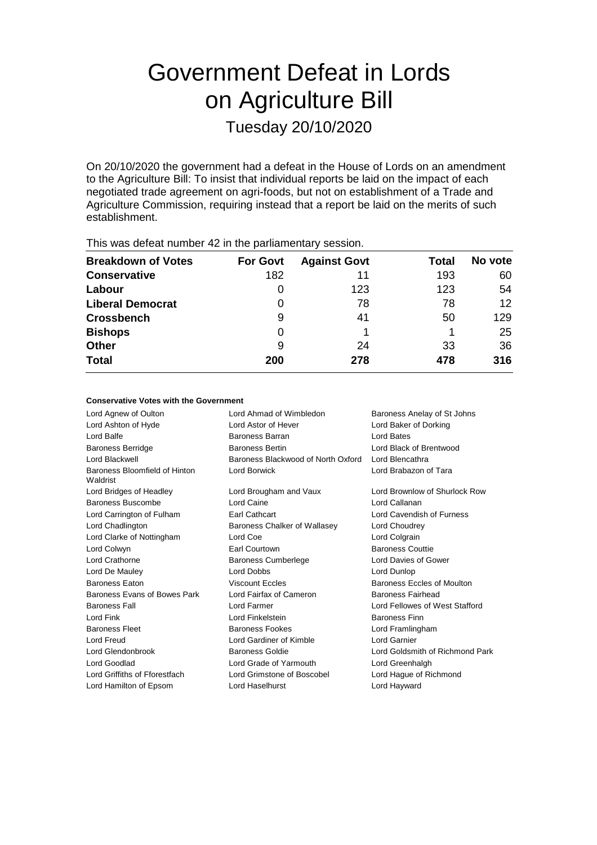# Government Defeat in Lords on Agriculture Bill

Tuesday 20/10/2020

On 20/10/2020 the government had a defeat in the House of Lords on an amendment to the Agriculture Bill: To insist that individual reports be laid on the impact of each negotiated trade agreement on agri-foods, but not on establishment of a Trade and Agriculture Commission, requiring instead that a report be laid on the merits of such establishment.

| This was assembly training to the partial format y second in |                 |                     |              |                 |  |  |
|--------------------------------------------------------------|-----------------|---------------------|--------------|-----------------|--|--|
| <b>Breakdown of Votes</b>                                    | <b>For Govt</b> | <b>Against Govt</b> | <b>Total</b> | No vote         |  |  |
| <b>Conservative</b>                                          | 182             | 11                  | 193          | 60              |  |  |
| Labour                                                       |                 | 123                 | 123          | 54              |  |  |
| <b>Liberal Democrat</b>                                      | 0               | 78                  | 78           | 12 <sup>°</sup> |  |  |
| <b>Crossbench</b>                                            | 9               | 41                  | 50           | 129             |  |  |
| <b>Bishops</b>                                               | 0               |                     |              | 25              |  |  |
| <b>Other</b>                                                 | 9               | 24                  | 33           | 36              |  |  |
| <b>Total</b>                                                 | 200             | 278                 | 478          | 316             |  |  |
|                                                              |                 |                     |              |                 |  |  |

This was defeat number 42 in the parliamentary session.

#### **Conservative Votes with the Government**

| Lord Agnew of Oulton                      | Lord Ahmad of Wimbledon            | Baroness Anelay of St Johns     |
|-------------------------------------------|------------------------------------|---------------------------------|
| Lord Ashton of Hyde                       | Lord Astor of Hever                | Lord Baker of Dorking           |
| Lord Balfe                                | Baroness Barran                    | <b>Lord Bates</b>               |
| <b>Baroness Berridge</b>                  | <b>Baroness Bertin</b>             | Lord Black of Brentwood         |
| Lord Blackwell                            | Baroness Blackwood of North Oxford | Lord Blencathra                 |
| Baroness Bloomfield of Hinton<br>Waldrist | Lord Borwick                       | Lord Brabazon of Tara           |
| Lord Bridges of Headley                   | Lord Brougham and Vaux             | Lord Brownlow of Shurlock Row   |
| Baroness Buscombe                         | Lord Caine                         | Lord Callanan                   |
| Lord Carrington of Fulham                 | <b>Earl Cathcart</b>               | Lord Cavendish of Furness       |
| Lord Chadlington                          | Baroness Chalker of Wallasey       | Lord Choudrey                   |
| Lord Clarke of Nottingham                 | Lord Coe                           | Lord Colgrain                   |
| Lord Colwyn                               | Earl Courtown                      | <b>Baroness Couttie</b>         |
| Lord Crathorne                            | <b>Baroness Cumberlege</b>         | Lord Davies of Gower            |
| Lord De Mauley                            | <b>Lord Dobbs</b>                  | Lord Dunlop                     |
| <b>Baroness Eaton</b>                     | <b>Viscount Eccles</b>             | Baroness Eccles of Moulton      |
| Baroness Evans of Bowes Park              | Lord Fairfax of Cameron            | Baroness Fairhead               |
| <b>Baroness Fall</b>                      | Lord Farmer                        | Lord Fellowes of West Stafford  |
| Lord Fink                                 | Lord Finkelstein                   | <b>Baroness Finn</b>            |
| <b>Baroness Fleet</b>                     | <b>Baroness Fookes</b>             | Lord Framlingham                |
| Lord Freud                                | Lord Gardiner of Kimble            | <b>Lord Garnier</b>             |
| Lord Glendonbrook                         | <b>Baroness Goldie</b>             | Lord Goldsmith of Richmond Park |
| Lord Goodlad                              | Lord Grade of Yarmouth             | Lord Greenhalgh                 |
| Lord Griffiths of Fforestfach             | Lord Grimstone of Boscobel         | Lord Hague of Richmond          |
| Lord Hamilton of Epsom                    | Lord Haselhurst                    | Lord Hayward                    |
|                                           |                                    |                                 |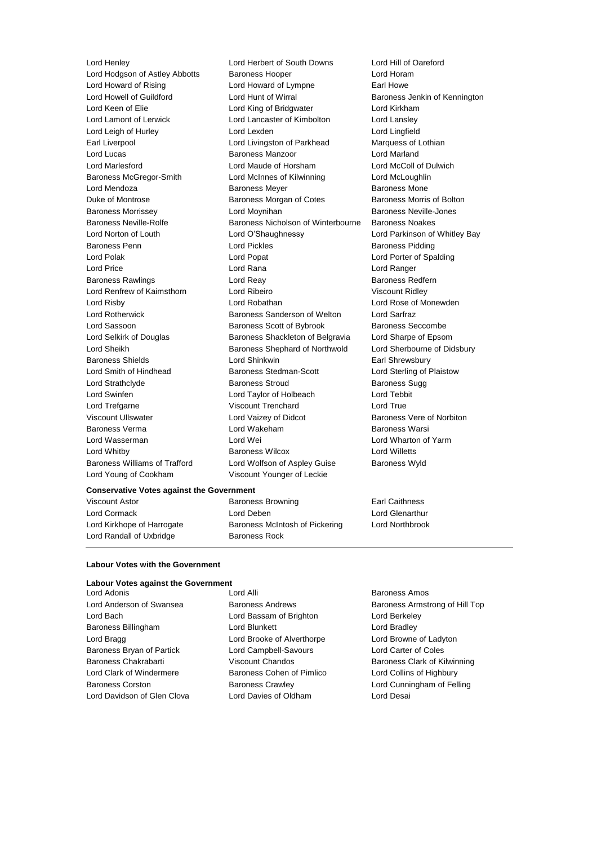Lord Young of Cookham Viscount Younger of Leckie

Lord Henley Lord Herbert of South Downs Lord Hill of Oareford Lord Hodgson of Astley Abbotts Baroness Hooper Superviction and Horam Lord Howard of Rising Lord Howard of Lympne Earl Howe Lord Howell of Guildford Lord Hunt of Wirral Baroness Jenkin of Kennington Lord Keen of Elie **Lord King of Bridgwater** Lord Kirkham Lord Lamont of Lerwick Lord Lancaster of Kimbolton Lord Lansley Lord Leigh of Hurley Lord Lexden Lord Lingfield Earl Liverpool Lord Livingston of Parkhead Marquess of Lothian Lord Lucas **Baroness Manzoor Lord Marland** Lord Marlesford Lord Maude of Horsham Lord McColl of Dulwich Baroness McGregor-Smith Lord McInnes of Kilwinning Lord McLoughlin Lord Mendoza **Baroness Meyer** Baroness Meyer **Baroness Mone** Duke of Montrose **Baroness Morgan of Cotes** Baroness Morris of Bolton Baroness Morrissey **Lord Moynihan** Baroness Neville-Jones Baroness Neville-Rolfe Baroness Nicholson of Winterbourne Baroness Noakes Lord Norton of Louth Lord O'Shaughnessy Lord Parkinson of Whitley Bay **Baroness Penn Education** Lord Pickles **Communist Pickles** Baroness Pidding Lord Polak Lord Cord Popat Lord Porter of Spalding Lord Price **Lord Rana** Lord Rana **Lord Ranger** Lord Ranger Baroness Rawlings **Baroness Realists** Lord Reay **Baroness Redfern** Lord Renfrew of Kaimsthorn Lord Ribeiro Viscount Ridley Lord Risby Lord Robathan Lord Rose of Monewden Lord Rotherwick Baroness Sanderson of Welton Lord Sarfraz Lord Sassoon **Baroness Scott of Bybrook** Baroness Seccombe Lord Selkirk of Douglas Baroness Shackleton of Belgravia Lord Sharpe of Epsom Lord Sheikh Baroness Shephard of Northwold Lord Sherbourne of Didsbury Baroness Shields **Earl Shinkwin** Lord Shinkwin **Earl Shrewsbury** Lord Smith of Hindhead Baroness Stedman-Scott Lord Sterling of Plaistow Lord Strathclyde **Baroness Stroud** Baroness Stroud Baroness Sugg Lord Swinfen Lord Taylor of Holbeach Lord Tebbit Lord Trefgarne **Viscount Trenchard** Lord True Viscount Ullswater **Lord Vaizey of Didcot** Baroness Vere of Norbiton Baroness Verma Lord Wakeham Baroness Warsi Lord Wasserman Lord Wei Lord Wharton of Yarm Lord Whitby Baroness Wilcox Lord Willetts Baroness Williams of Trafford Lord Wolfson of Aspley Guise Baroness Wyld

#### **Conservative Votes against the Government**

Lord Randall of Uxbridge Baroness Rock

Viscount Astor **Baroness Browning Earl Caithness** Browning **Earl Caithness** Lord Cormack Lord Deben Lord Glenarthur Lord Kirkhope of Harrogate Baroness McIntosh of Pickering Lord Northbrook

#### **Labour Votes with the Government**

## **Labour Votes against the Government**<br>Lord Adonis

Lord Bach Lord Bassam of Brighton Lord Berkeley Baroness Billingham **Lord Blunkett** Lord Bradley Lord Bragg **Lord Brooke of Alverthorpe** Lord Browne of Ladyton Baroness Bryan of Partick Lord Campbell-Savours Lord Carter of Coles Baroness Chakrabarti **Viscount Chandos** Baroness Clark of Kilwinning Lord Clark of Windermere Baroness Cohen of Pimlico Lord Collins of Highbury Baroness Corston Baroness Crawley Lord Cunningham of Felling Lord Davidson of Glen Clova Lord Davies of Oldham Lord Desai

Lord Adonis **Lord Alli Lord Alli Baroness Amos** 

Lord Anderson of Swansea **Baroness Andrews** Baroness Andrews Baroness Armstrong of Hill Top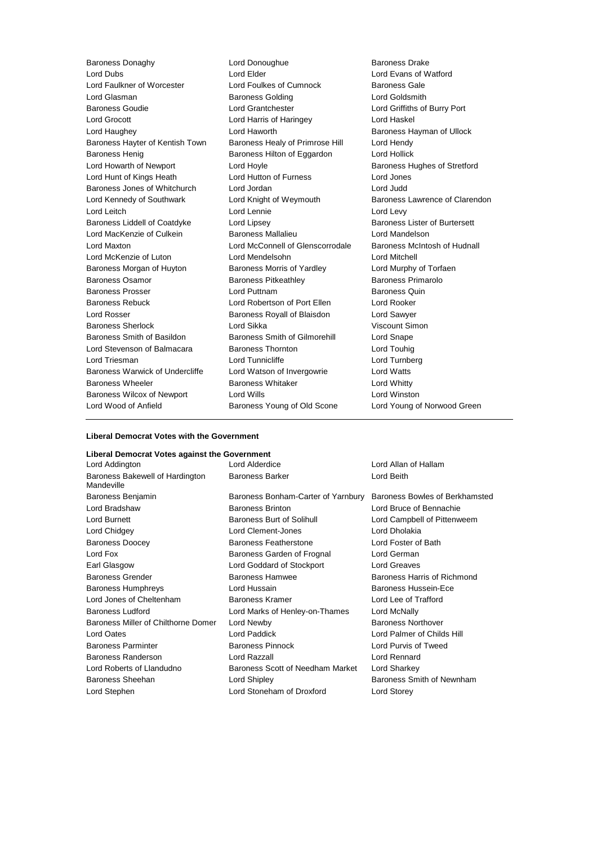Baroness Donaghy **Lord Donoughue Baroness Drake**<br>
Lord Dubs **Lord Dubs**Lord Evans of W<br>
Lord Elder **Cord Evans of W** Lord Faulkner of Worcester Lord Glasman Baroness Golding Lord Goldsmith Baroness Goudie Lord Grantchester Lord Griffiths of Burry Port Lord Grocott **Lord Harris of Haringey** Lord Haskel Lord Haughey **Lord Haworth Baroness Hayman of Ullock Baroness Hayman of Ullock** Baroness Hayter of Kentish Town Baroness Healy of Primrose Hill Lord Hendy Baroness Henig Baroness Hilton of Eggardon Lord Hollick Lord Howarth of Newport **Lord Hoyle Lord Hoyle Baroness Hughes of Stretford** Lord Hunt of Kings Heath Lord Hutton of Furness Lord Jones Baroness Jones of Whitchurch Lord Jordan Lord Judd Lord Kennedy of Southwark Lord Knight of Weymouth Baroness Lawrence of Clarendon Lord Leitch Lord Lennie Lord Levy Baroness Liddell of Coatdyke Lord Lipsey Lord Baroness Lister of Burtersett Lord MacKenzie of Culkein Baroness Mallalieu Lord Mandelson Lord Maxton Lord McConnell of Glenscorrodale Baroness McIntosh of Hudnall Lord McKenzie of Luton Lord Mendelsohn Lord McKenzie of Luton Lord Mitchell<br>
Baroness Morgan of Huyton Baroness Morris of Yardley Lord Murphy Baroness Morgan of Huyton Baroness Morris of Yardley Lord Murphy of Torfaen Baroness Osamor **Baroness Pitkeathley** Baroness Pitheathley Baroness Primarolo Baroness Prosser Lord Puttnam Baroness Quin Baroness Rebuck Lord Robertson of Port Ellen Lord Rooker Lord Rosser Baroness Royall of Blaisdon Lord Sawyer Baroness Sherlock Lord Sikka Viscount Simon Baroness Smith of Basildon Baroness Smith of Gilmorehill Lord Snape Lord Stevenson of Balmacara Baroness Thornton Corporation Lord Touhig Lord Triesman Lord Tunnicliffe Lord Turnberg Baroness Warwick of Undercliffe Lord Watson of Invergowrie Lord Watts Baroness Wheeler **Baroness Whitaker** Lord Whitty Baroness Wilcox of Newport Lord Wills Lord Winston Lord Wood of Anfield **Baroness Young of Old Scone** Lord Young of Norwood Green

Lord Elder Lord Evans of Watford<br>
Lord Foulkes of Cumnock<br>
Baroness Gale

#### **Liberal Democrat Votes with the Government**

| Liberal Democrat Votes against the Government |                                |  |
|-----------------------------------------------|--------------------------------|--|
| Lord Alderdice                                | Lord Allan of Hallam           |  |
| <b>Baroness Barker</b>                        | Lord Beith                     |  |
| Baroness Bonham-Carter of Yarnbury            | Baroness Bowles of Berkhamsted |  |
| <b>Baroness Brinton</b>                       | Lord Bruce of Bennachie        |  |
| Baroness Burt of Solihull                     | Lord Campbell of Pittenweem    |  |
| Lord Clement-Jones                            | Lord Dholakia                  |  |
| Baroness Featherstone                         | Lord Foster of Bath            |  |
| Baroness Garden of Frognal                    | Lord German                    |  |
| Lord Goddard of Stockport                     | Lord Greaves                   |  |
| Baroness Hamwee                               | Baroness Harris of Richmond    |  |
| Lord Hussain                                  | Baroness Hussein-Ece           |  |
| Baroness Kramer                               | Lord Lee of Trafford           |  |
| Lord Marks of Henley-on-Thames                | Lord McNally                   |  |
| Lord Newby                                    | <b>Baroness Northover</b>      |  |
| Lord Paddick                                  | Lord Palmer of Childs Hill     |  |
| <b>Baroness Pinnock</b>                       | Lord Purvis of Tweed           |  |
| Lord Razzall                                  | <b>Lord Rennard</b>            |  |
| Baroness Scott of Needham Market              | Lord Sharkey                   |  |
| Lord Shipley                                  | Baroness Smith of Newnham      |  |
| Lord Stoneham of Droxford                     | Lord Storey                    |  |
|                                               |                                |  |